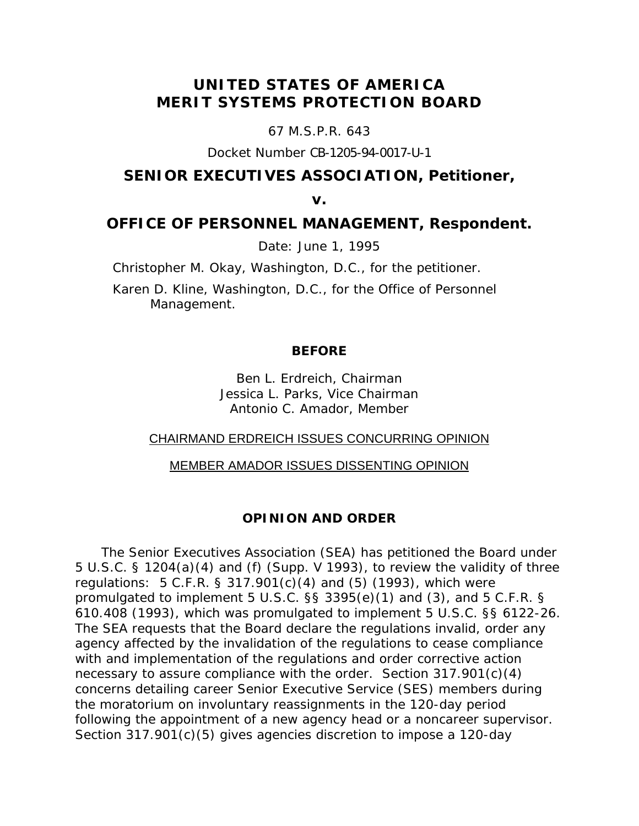# **UNITED STATES OF AMERICA MERIT SYSTEMS PROTECTION BOARD**

67 M.S.P.R. 643

Docket Number CB-1205-94-0017-U-1

## **SENIOR EXECUTIVES ASSOCIATION, Petitioner,**

**v.** 

## **OFFICE OF PERSONNEL MANAGEMENT, Respondent.**

Date: June 1, 1995

Christopher M. Okay, Washington, D.C., for the petitioner.

Karen D. Kline, Washington, D.C., for the Office of Personnel Management.

## **BEFORE**

Ben L. Erdreich, Chairman Jessica L. Parks, Vice Chairman Antonio C. Amador, Member

## CHAIRMAND ERDREICH ISSUES CONCURRING OPINION

#### MEMBER AMADOR ISSUES DISSENTING OPINION

### **OPINION AND ORDER**

The Senior Executives Association (SEA) has petitioned the Board under 5 U.S.C. § 1204(a)(4) and (f) (Supp. V 1993), to review the validity of three regulations: 5 C.F.R. § 317.901(c)(4) and (5) (1993), which were promulgated to implement 5 U.S.C. §§ 3395(e)(1) and (3), and 5 C.F.R. § 610.408 (1993), which was promulgated to implement 5 U.S.C. §§ 6122-26. The SEA requests that the Board declare the regulations invalid, order any agency affected by the invalidation of the regulations to cease compliance with and implementation of the regulations and order corrective action necessary to assure compliance with the order. Section 317.901(c)(4) concerns detailing career Senior Executive Service (SES) members during the moratorium on involuntary reassignments in the 120-day period following the appointment of a new agency head or a noncareer supervisor. Section 317.901(c)(5) gives agencies discretion to impose a 120-day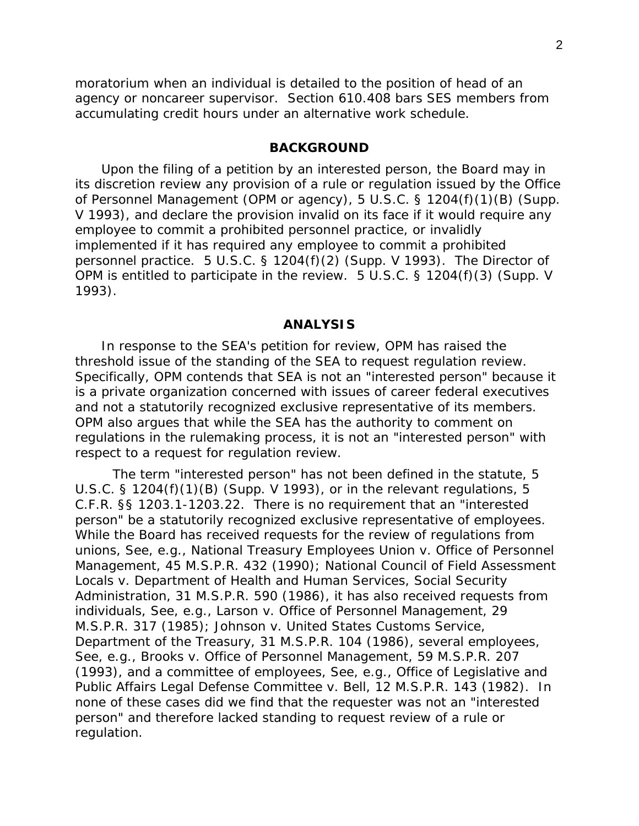moratorium when an individual is detailed to the position of head of an agency or noncareer supervisor. Section 610.408 bars SES members from accumulating credit hours under an alternative work schedule.

#### **BACKGROUND**

Upon the filing of a petition by an interested person, the Board may in its discretion review any provision of a rule or regulation issued by the Office of Personnel Management (OPM or agency), 5 U.S.C. § 1204(f)(1)(B) (Supp. V 1993), and declare the provision invalid on its face if it would require any employee to commit a prohibited personnel practice, or invalidly implemented if it has required any employee to commit a prohibited personnel practice. 5 U.S.C. § 1204(f)(2) (Supp. V 1993). The Director of OPM is entitled to participate in the review. 5 U.S.C. § 1204(f)(3) (Supp. V 1993).

#### **ANALYSIS**

In response to the SEA's petition for review, OPM has raised the threshold issue of the standing of the SEA to request regulation review. Specifically, OPM contends that SEA is not an "interested person" because it is a private organization concerned with issues of career federal executives and not a statutorily recognized exclusive representative of its members. OPM also argues that while the SEA has the authority to comment on regulations in the rulemaking process, it is not an "interested person" with respect to a request for regulation review.

 The term "interested person" has not been defined in the statute, 5 U.S.C. § 1204(f)(1)(B) (Supp. V 1993), or in the relevant regulations, 5 C.F.R. §§ 1203.1-1203.22. There is no requirement that an "interested person" be a statutorily recognized exclusive representative of employees. While the Board has received requests for the review of regulations from unions, *See*, *e.g., National Treasury Employees Union v. Office of Personnel Management*, 45 M.S.P.R. 432 (1990); *National Council of Field Assessment Locals v. Department of Health and Human Services, Social Security Administration*, 31 M.S.P.R. 590 (1986), it has also received requests from individuals, *See*, *e.g., Larson v. Office of Personnel Management*, 29 M.S.P.R. 317 (1985); *Johnson v. United States Customs Service, Department of the Treasury*, 31 M.S.P.R. 104 (1986), several employees, *See*, e.g., *Brooks v. Office of Personnel Management,* 59 M.S.P.R. 207 (1993), and a committee of employees, *See*, e.g., *Office of Legislative and Public Affairs Legal Defense Committee v. Bell*, 12 M.S.P.R. 143 (1982). In none of these cases did we find that the requester was not an "interested person" and therefore lacked standing to request review of a rule or regulation.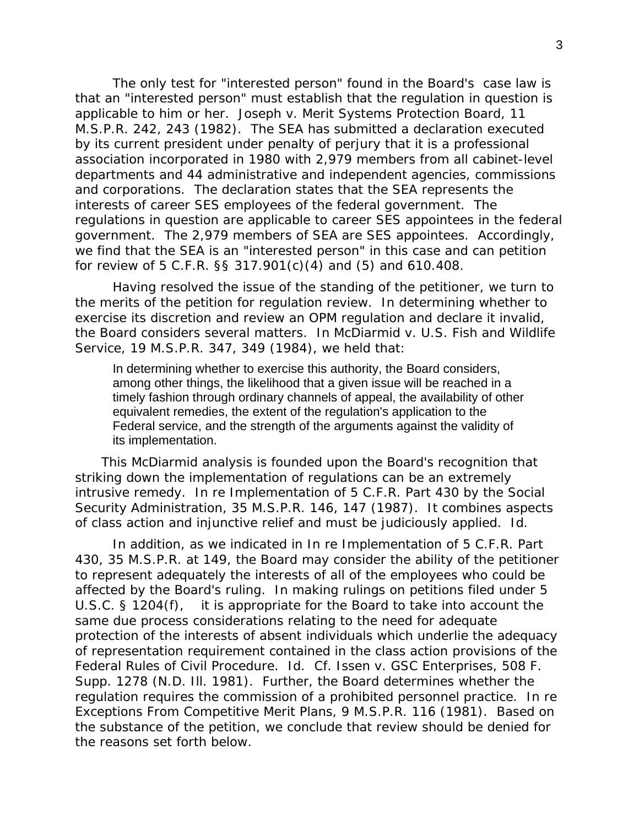The only test for "interested person" found in the Board's case law is that an "interested person" must establish that the regulation in question is applicable to him or her. *Joseph v. Merit Systems Protection Board*, 11 M.S.P.R. 242, 243 (1982). The SEA has submitted a declaration executed by its current president under penalty of perjury that it is a professional association incorporated in 1980 with 2,979 members from all cabinet-level departments and 44 administrative and independent agencies, commissions and corporations. The declaration states that the SEA represents the interests of career SES employees of the federal government. The regulations in question are applicable to career SES appointees in the federal government. The 2,979 members of SEA are SES appointees. Accordingly, we find that the SEA is an "interested person" in this case and can petition for review of 5 C.F.R. §§ 317.901(c)(4) and (5) and 610.408.

 Having resolved the issue of the standing of the petitioner, we turn to the merits of the petition for regulation review. In determining whether to exercise its discretion and review an OPM regulation and declare it invalid, the Board considers several matters. In *McDiarmid v. U.S. Fish and Wildlife Service*, 19 M.S.P.R. 347, 349 (1984), we held that:

In determining whether to exercise this authority, the Board considers, among other things, the likelihood that a given issue will be reached in a timely fashion through ordinary channels of appeal, the availability of other equivalent remedies, the extent of the regulation's application to the Federal service, and the strength of the arguments against the validity of its implementation.

This *McDiarmid* analysis is founded upon the Board's recognition that striking down the implementation of regulations can be an extremely intrusive remedy. *In re Implementation of 5 C.F.R. Part 430 by the Social Security Administration*, 35 M.S.P.R. 146, 147 (1987). It combines aspects of class action and injunctive relief and must be judiciously applied. *Id.*

 In addition, as we indicated in *In re Implementation of 5 C.F.R. Part 430*, 35 M.S.P.R. at 149, the Board may consider the ability of the petitioner to represent adequately the interests of all of the employees who could be affected by the Board's ruling. In making rulings on petitions filed under 5 U.S.C. § 1204(f), it is appropriate for the Board to take into account the same due process considerations relating to the need for adequate protection of the interests of absent individuals which underlie the adequacy of representation requirement contained in the class action provisions of the Federal Rules of Civil Procedure. *Id. Cf. Issen v. GSC Enterprises,* 508 F. Supp. 1278 (N.D. Ill. 1981). Further, the Board determines whether the regulation requires the commission of a prohibited personnel practice. In re Exceptions From Competitive Merit Plans, 9 M.S.P.R. 116 (1981). Based on the substance of the petition, we conclude that review should be denied for the reasons set forth below.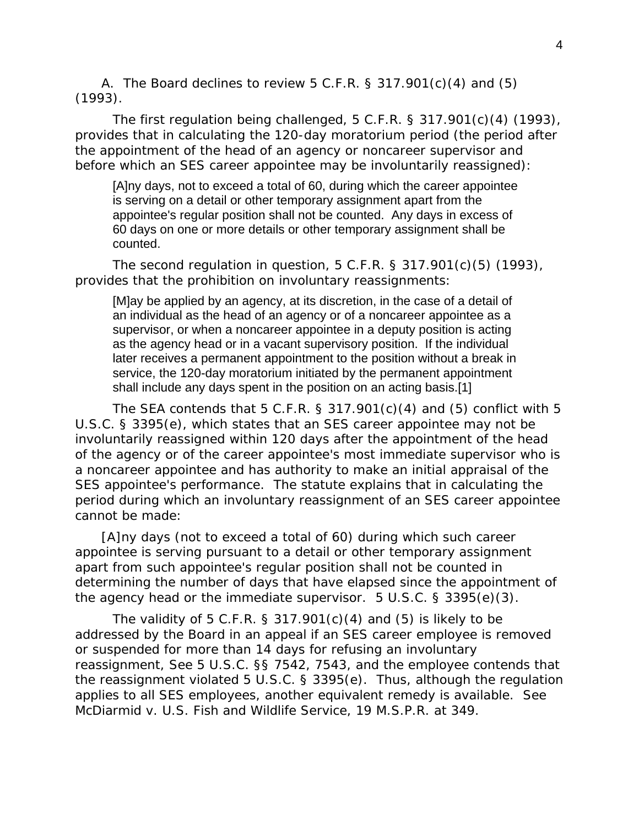A. The Board declines to review 5 C.F.R. § 317.901(c)(4) and (5) (1993).

 The first regulation being challenged, 5 C.F.R. § 317.901(c)(4) (1993), provides that in calculating the 120-day moratorium period (the period after the appointment of the head of an agency or noncareer supervisor and before which an SES career appointee may be involuntarily reassigned):

[A]ny days, not to exceed a total of 60, during which the career appointee is serving on a detail or other temporary assignment apart from the appointee's regular position shall not be counted. Any days in excess of 60 days on one or more details or other temporary assignment shall be counted.

 The second regulation in question, 5 C.F.R. § 317.901(c)(5) (1993), provides that the prohibition on involuntary reassignments:

[M]ay be applied by an agency, at its discretion, in the case of a detail of an individual as the head of an agency or of a noncareer appointee as a supervisor, or when a noncareer appointee in a deputy position is acting as the agency head or in a vacant supervisory position. If the individual later receives a permanent appointment to the position without a break in service, the 120-day moratorium initiated by the permanent appointment shall include any days spent in the position on an acting basis.[1]

The SEA contends that 5 C.F.R. § 317.901 $(c)(4)$  and  $(5)$  conflict with 5 U.S.C. § 3395(e), which states that an SES career appointee may not be involuntarily reassigned within 120 days after the appointment of the head of the agency or of the career appointee's most immediate supervisor who is a noncareer appointee and has authority to make an initial appraisal of the SES appointee's performance. The statute explains that in calculating the period during which an involuntary reassignment of an SES career appointee cannot be made:

[A]ny days (not to exceed a total of 60) during which such career appointee is serving pursuant to a detail or other temporary assignment apart from such appointee's regular position shall not be counted in determining the number of days that have elapsed since the appointment of the agency head or the immediate supervisor. 5 U.S.C. § 3395(e)(3).

The validity of 5 C.F.R. § 317.901 $(c)(4)$  and  $(5)$  is likely to be addressed by the Board in an appeal if an SES career employee is removed or suspended for more than 14 days for refusing an involuntary reassignment, *See* 5 U.S.C. §§ 7542, 7543, and the employee contends that the reassignment violated 5 U.S.C. § 3395(e). Thus, although the regulation applies to all SES employees, another equivalent remedy is available. *See McDiarmid v. U.S. Fish and Wildlife Service*, 19 M.S.P.R. at 349.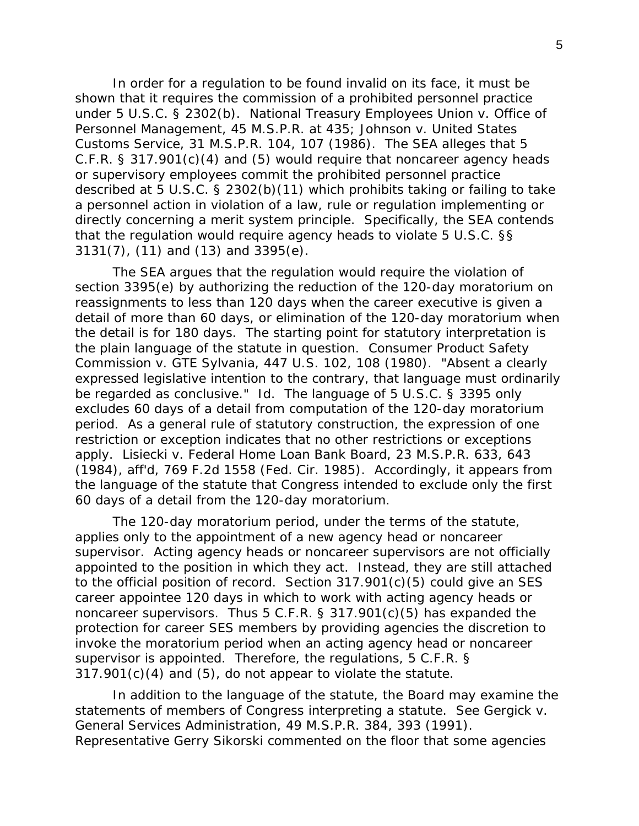In order for a regulation to be found invalid on its face, it must be shown that it requires the commission of a prohibited personnel practice under 5 U.S.C. § 2302(b). *National Treasury Employees Union v. Office of Personnel Management*, 45 M.S.P.R. at 435; *Johnson v. United States Customs Service*, 31 M.S.P.R. 104, 107 (1986). The SEA alleges that 5 C.F.R. § 317.901(c)(4) and (5) would require that noncareer agency heads or supervisory employees commit the prohibited personnel practice described at 5 U.S.C. § 2302(b)(11) which prohibits taking or failing to take a personnel action in violation of a law, rule or regulation implementing or directly concerning a merit system principle. Specifically, the SEA contends that the regulation would require agency heads to violate 5 U.S.C. §§ 3131(7), (11) and (13) and 3395(e).

 The SEA argues that the regulation would require the violation of section 3395(e) by authorizing the reduction of the 120-day moratorium on reassignments to less than 120 days when the career executive is given a detail of more than 60 days, or elimination of the 120-day moratorium when the detail is for 180 days. The starting point for statutory interpretation is the plain language of the statute in question. *Consumer Product Safety Commission v. GTE Sylvania*, 447 U.S. 102, 108 (1980). "Absent a clearly expressed legislative intention to the contrary, that language must ordinarily be regarded as conclusive." *Id.* The language of 5 U.S.C. § 3395 only excludes 60 days of a detail from computation of the 120-day moratorium period. As a general rule of statutory construction, the expression of one restriction or exception indicates that no other restrictions or exceptions apply. *Lisiecki v. Federal Home Loan Bank Board*, 23 M.S.P.R. 633, 643 (1984), *aff'd*, 769 F.2d 1558 (Fed. Cir. 1985). Accordingly, it appears from the language of the statute that Congress intended to exclude only the first 60 days of a detail from the 120-day moratorium.

 The 120-day moratorium period, under the terms of the statute, applies only to the appointment of a new agency head or noncareer supervisor. Acting agency heads or noncareer supervisors are not officially appointed to the position in which they act. Instead, they are still attached to the official position of record. Section 317.901(c)(5) could give an SES career appointee 120 days in which to work with acting agency heads or noncareer supervisors. Thus 5 C.F.R. § 317.901(c)(5) has expanded the protection for career SES members by providing agencies the discretion to invoke the moratorium period when an acting agency head or noncareer supervisor is appointed. Therefore, the regulations, 5 C.F.R. § 317.901(c)(4) and (5), do not appear to violate the statute.

 In addition to the language of the statute, the Board may examine the statements of members of Congress interpreting a statute. *See Gergick v. General Services Administration*, 49 M.S.P.R. 384, 393 (1991). Representative Gerry Sikorski commented on the floor that some agencies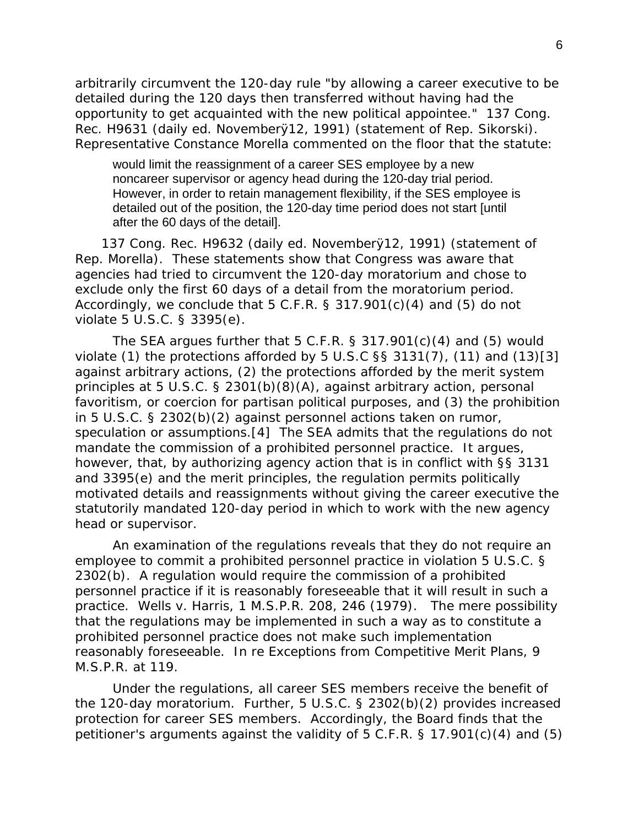arbitrarily circumvent the 120-day rule "by allowing a career executive to be detailed during the 120 days then transferred without having had the opportunity to get acquainted with the new political appointee." 137 Cong. Rec. H9631 (daily ed. Novemberÿ12, 1991) (statement of Rep. Sikorski). Representative Constance Morella commented on the floor that the statute:

would limit the reassignment of a career SES employee by a new noncareer supervisor or agency head during the 120-day trial period. However, in order to retain management flexibility, if the SES employee is detailed out of the position, the 120-day time period does not start [until after the 60 days of the detail].

137 Cong. Rec. H9632 (daily ed. Novemberÿ12, 1991) (statement of Rep. Morella). These statements show that Congress was aware that agencies had tried to circumvent the 120-day moratorium and chose to exclude only the first 60 days of a detail from the moratorium period. Accordingly, we conclude that  $5$  C.F.R. § 317.901(c)(4) and (5) do not violate 5 U.S.C. § 3395(e).

The SEA argues further that  $5$  C.F.R.  $\S$  317.901(c)(4) and (5) would violate (1) the protections afforded by 5 U.S.C §§ 3131(7), (11) and (13)[3] against arbitrary actions, (2) the protections afforded by the merit system principles at 5 U.S.C. § 2301(b)(8)(A), against arbitrary action, personal favoritism, or coercion for partisan political purposes, and (3) the prohibition in 5 U.S.C. § 2302(b)(2) against personnel actions taken on rumor, speculation or assumptions.[4] The SEA admits that the regulations do not mandate the commission of a prohibited personnel practice. It argues, however, that, by authorizing agency action that is in conflict with §§ 3131 and 3395(e) and the merit principles, the regulation permits politically motivated details and reassignments without giving the career executive the statutorily mandated 120-day period in which to work with the new agency head or supervisor.

 An examination of the regulations reveals that they do not require an employee to commit a prohibited personnel practice in violation 5 U.S.C. § 2302(b). A regulation would require the commission of a prohibited personnel practice if it is reasonably foreseeable that it will result in such a practice. *Wells v. Harris*, 1 M.S.P.R. 208, 246 (1979). The mere possibility that the regulations may be implemented in such a way as to constitute a prohibited personnel practice does not make such implementation reasonably foreseeable. *In re Exceptions from Competitive Merit Plans*, 9 M.S.P.R. at 119.

 Under the regulations, all career SES members receive the benefit of the 120-day moratorium. Further, 5 U.S.C. § 2302(b)(2) provides increased protection for career SES members. Accordingly, the Board finds that the petitioner's arguments against the validity of 5 C.F.R. § 17.901(c)(4) and (5)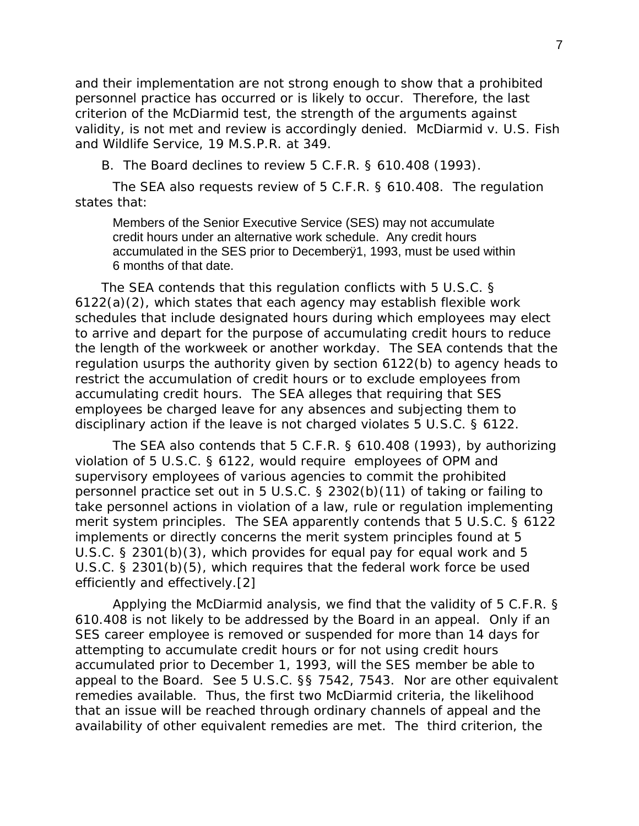and their implementation are not strong enough to show that a prohibited personnel practice has occurred or is likely to occur. Therefore, the last criterion of the *McDiarmid* test, the strength of the arguments against validity, is not met and review is accordingly denied. *McDiarmid v. U.S. Fish and Wildlife Service*, 19 M.S.P.R. at 349.

B. The Board declines to review 5 C.F.R. § 610.408 (1993).

 The SEA also requests review of 5 C.F.R. § 610.408. The regulation states that:

Members of the Senior Executive Service (SES) may not accumulate credit hours under an alternative work schedule. Any credit hours accumulated in the SES prior to Decemberÿ1, 1993, must be used within 6 months of that date.

The SEA contends that this regulation conflicts with 5 U.S.C. § 6122(a)(2), which states that each agency may establish flexible work schedules that include designated hours during which employees may elect to arrive and depart for the purpose of accumulating credit hours to reduce the length of the workweek or another workday. The SEA contends that the regulation usurps the authority given by section 6122(b) to agency heads to restrict the accumulation of credit hours or to exclude employees from accumulating credit hours. The SEA alleges that requiring that SES employees be charged leave for any absences and subjecting them to disciplinary action if the leave is not charged violates 5 U.S.C. § 6122.

 The SEA also contends that 5 C.F.R. § 610.408 (1993), by authorizing violation of 5 U.S.C. § 6122, would require employees of OPM and supervisory employees of various agencies to commit the prohibited personnel practice set out in 5 U.S.C. § 2302(b)(11) of taking or failing to take personnel actions in violation of a law, rule or regulation implementing merit system principles. The SEA apparently contends that 5 U.S.C. § 6122 implements or directly concerns the merit system principles found at 5 U.S.C. § 2301(b)(3), which provides for equal pay for equal work and 5 U.S.C. § 2301(b)(5), which requires that the federal work force be used efficiently and effectively.[2]

 Applying the *McDiarmid* analysis, we find that the validity of 5 C.F.R. § 610.408 is not likely to be addressed by the Board in an appeal. Only if an SES career employee is removed or suspended for more than 14 days for attempting to accumulate credit hours or for not using credit hours accumulated prior to December 1, 1993, will the SES member be able to appeal to the Board. *See* 5 U.S.C. §§ 7542, 7543. Nor are other equivalent remedies available. Thus, the first two *McDiarmid* criteria, the likelihood that an issue will be reached through ordinary channels of appeal and the availability of other equivalent remedies are met. The third criterion, the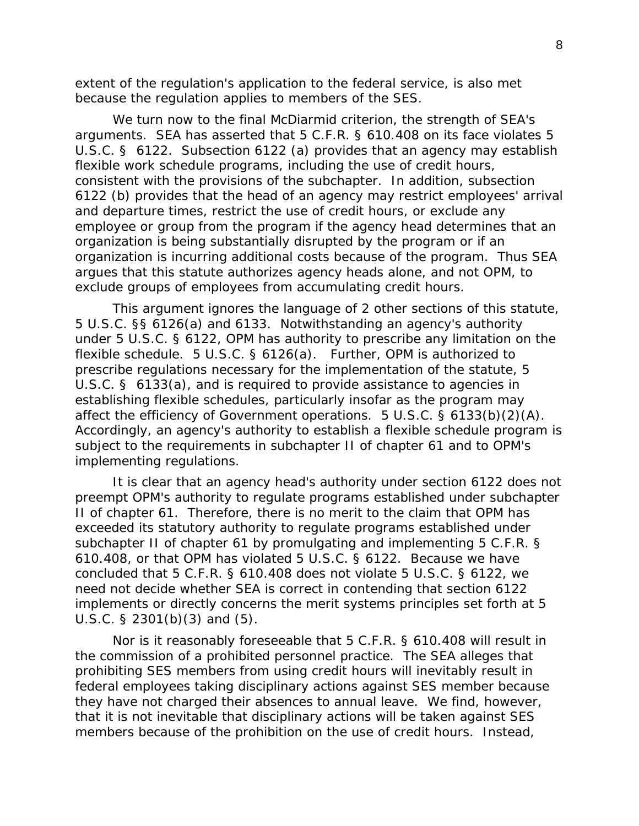extent of the regulation's application to the federal service, is also met because the regulation applies to members of the SES.

 We turn now to the final *McDiarmid* criterion, the strength of SEA's arguments. SEA has asserted that 5 C.F.R. § 610.408 on its face violates 5 U.S.C. § 6122. Subsection 6122 (a) provides that an agency may establish flexible work schedule programs, including the use of credit hours, consistent with the provisions of the subchapter. In addition, subsection 6122 (b) provides that the head of an agency may restrict employees' arrival and departure times, restrict the use of credit hours, or exclude any employee or group from the program if the agency head determines that an organization is being substantially disrupted by the program or if an organization is incurring additional costs because of the program. Thus SEA argues that this statute authorizes agency heads alone, and not OPM, to exclude groups of employees from accumulating credit hours.

 This argument ignores the language of 2 other sections of this statute, 5 U.S.C. §§ 6126(a) and 6133. Notwithstanding an agency's authority under 5 U.S.C. § 6122, OPM has authority to prescribe any limitation on the flexible schedule. 5 U.S.C. § 6126(a). Further, OPM is authorized to prescribe regulations necessary for the implementation of the statute, 5 U.S.C. § 6133(a), and is required to provide assistance to agencies in establishing flexible schedules, particularly insofar as the program may affect the efficiency of Government operations. 5 U.S.C. § 6133(b)(2)(A). Accordingly, an agency's authority to establish a flexible schedule program is subject to the requirements in subchapter II of chapter 61 and to OPM's implementing regulations.

 It is clear that an agency head's authority under section 6122 does not preempt OPM's authority to regulate programs established under subchapter II of chapter 61. Therefore, there is no merit to the claim that OPM has exceeded its statutory authority to regulate programs established under subchapter II of chapter 61 by promulgating and implementing 5 C.F.R. § 610.408, or that OPM has violated 5 U.S.C. § 6122. Because we have concluded that 5 C.F.R. § 610.408 does not violate 5 U.S.C. § 6122, we need not decide whether SEA is correct in contending that section 6122 implements or directly concerns the merit systems principles set forth at 5 U.S.C. § 2301(b)(3) and (5).

 Nor is it reasonably foreseeable that 5 C.F.R. § 610.408 will result in the commission of a prohibited personnel practice. The SEA alleges that prohibiting SES members from using credit hours will inevitably result in federal employees taking disciplinary actions against SES member because they have not charged their absences to annual leave. We find, however, that it is not inevitable that disciplinary actions will be taken against SES members because of the prohibition on the use of credit hours. Instead,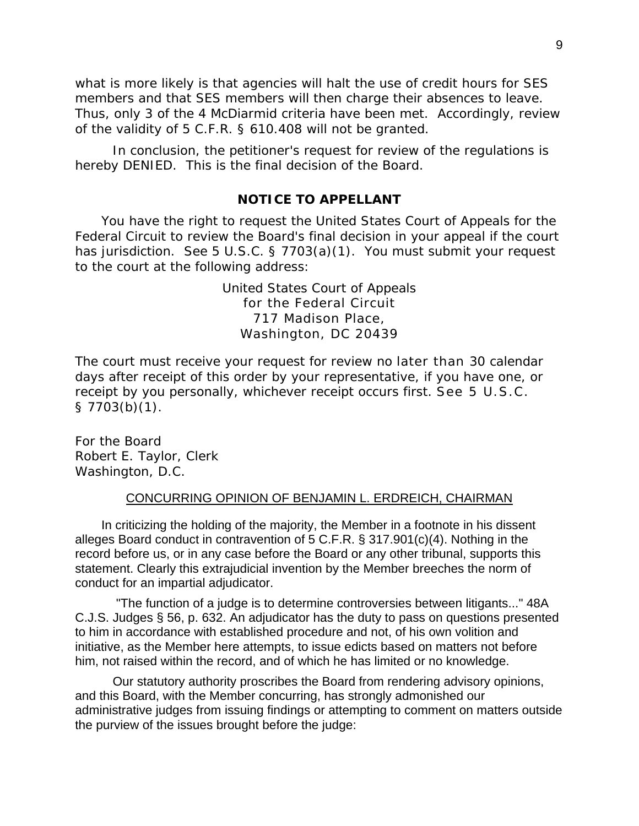what is more likely is that agencies will halt the use of credit hours for SES members and that SES members will then charge their absences to leave. Thus, only 3 of the 4 *McDiarmid* criteria have been met. Accordingly, review of the validity of 5 C.F.R. § 610.408 will not be granted.

 In conclusion, the petitioner's request for review of the regulations is hereby DENIED. This is the final decision of the Board.

## **NOTICE TO APPELLANT**

You have the right to request the United States Court of Appeals for the Federal Circuit to review the Board's final decision in your appeal if the court has jurisdiction. *See* 5 U.S.C. § 7703(a)(1). You must submit your request to the court at the following address:

> United States Court of Appeals for the Federal Circuit 717 Madison Place, Washington, DC 20439

The court must receive your request for review no later than 30 calendar days after receipt of this order by your representative, if you have one, or receipt by you personally, whichever receipt occurs first. *See* 5 U.S.C. § 7703(b)(1).

For the Board Robert E. Taylor, Clerk Washington, D.C.

#### CONCURRING OPINION OF BENJAMIN L. ERDREICH, CHAIRMAN

In criticizing the holding of the majority, the Member in a footnote in his dissent alleges Board conduct in contravention of 5 C.F.R. § 317.901(c)(4). Nothing in the record before us, or in any case before the Board or any other tribunal, supports this statement. Clearly this extrajudicial invention by the Member breeches the norm of conduct for an impartial adjudicator.

 "The function of a judge is to determine controversies between litigants..." 48A C.J.S. Judges § 56, p. 632. An adjudicator has the duty to pass on questions presented to him in accordance with established procedure and not, of his own volition and initiative, as the Member here attempts, to issue edicts based on matters not before him, not raised within the record, and of which he has limited or no knowledge.

 Our statutory authority proscribes the Board from rendering advisory opinions, and this Board, with the Member concurring, has strongly admonished our administrative judges from issuing findings or attempting to comment on matters outside the purview of the issues brought before the judge: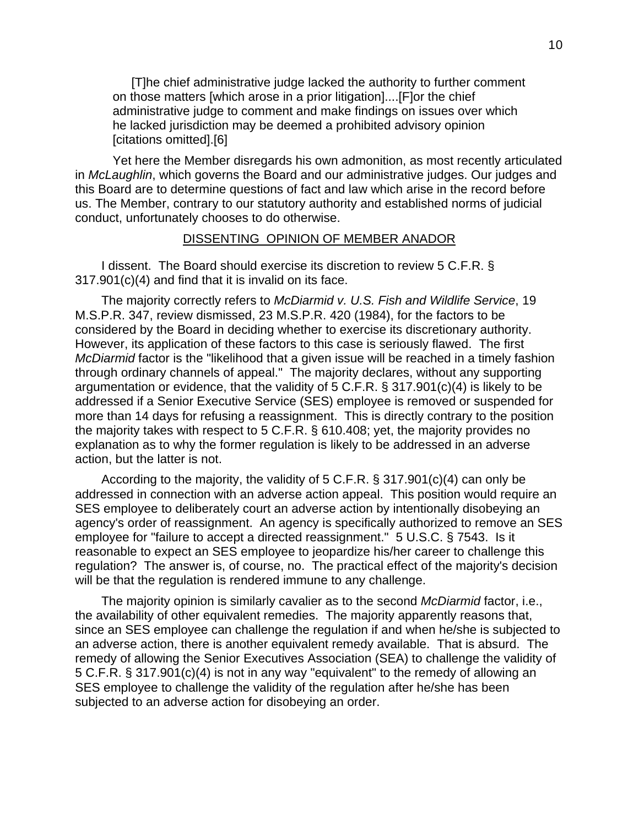[T]he chief administrative judge lacked the authority to further comment on those matters [which arose in a prior litigation]....[F]or the chief administrative judge to comment and make findings on issues over which he lacked jurisdiction may be deemed a prohibited advisory opinion [citations omitted].[6]

 Yet here the Member disregards his own admonition, as most recently articulated in *McLaughlin*, which governs the Board and our administrative judges. Our judges and this Board are to determine questions of fact and law which arise in the record before us. The Member, contrary to our statutory authority and established norms of judicial conduct, unfortunately chooses to do otherwise.

#### DISSENTING OPINION OF MEMBER ANADOR

I dissent. The Board should exercise its discretion to review 5 C.F.R. § 317.901(c)(4) and find that it is invalid on its face.

The majority correctly refers to *McDiarmid v. U.S. Fish and Wildlife Service*, 19 M.S.P.R. 347, review dismissed, 23 M.S.P.R. 420 (1984), for the factors to be considered by the Board in deciding whether to exercise its discretionary authority. However, its application of these factors to this case is seriously flawed. The first *McDiarmid* factor is the "likelihood that a given issue will be reached in a timely fashion through ordinary channels of appeal." The majority declares, without any supporting argumentation or evidence, that the validity of 5 C.F.R. § 317.901(c)(4) is likely to be addressed if a Senior Executive Service (SES) employee is removed or suspended for more than 14 days for refusing a reassignment. This is directly contrary to the position the majority takes with respect to 5 C.F.R. § 610.408; yet, the majority provides no explanation as to why the former regulation is likely to be addressed in an adverse action, but the latter is not.

According to the majority, the validity of 5 C.F.R. § 317.901(c)(4) can only be addressed in connection with an adverse action appeal. This position would require an SES employee to deliberately court an adverse action by intentionally disobeying an agency's order of reassignment. An agency is specifically authorized to remove an SES employee for "failure to accept a directed reassignment." 5 U.S.C. § 7543. Is it reasonable to expect an SES employee to jeopardize his/her career to challenge this regulation? The answer is, of course, no. The practical effect of the majority's decision will be that the regulation is rendered immune to any challenge.

The majority opinion is similarly cavalier as to the second *McDiarmid* factor, i.e., the availability of other equivalent remedies. The majority apparently reasons that, since an SES employee can challenge the regulation if and when he/she is subjected to an adverse action, there is another equivalent remedy available. That is absurd. The remedy of allowing the Senior Executives Association (SEA) to challenge the validity of 5 C.F.R. § 317.901(c)(4) is not in any way "equivalent" to the remedy of allowing an SES employee to challenge the validity of the regulation after he/she has been subjected to an adverse action for disobeying an order.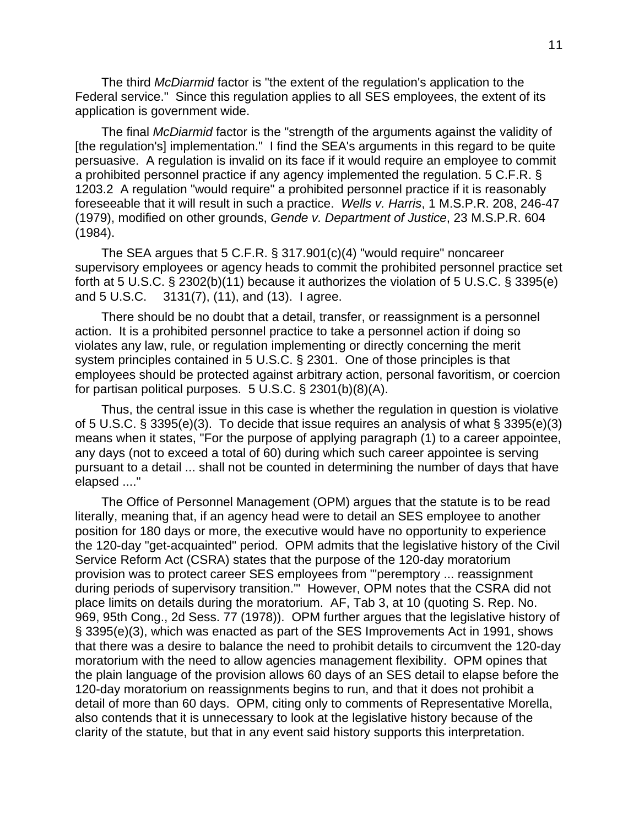The third *McDiarmid* factor is "the extent of the regulation's application to the Federal service." Since this regulation applies to all SES employees, the extent of its application is government wide.

The final *McDiarmid* factor is the "strength of the arguments against the validity of [the regulation's] implementation." I find the SEA's arguments in this regard to be quite persuasive. A regulation is invalid on its face if it would require an employee to commit a prohibited personnel practice if any agency implemented the regulation. 5 C.F.R. § 1203.2 A regulation "would require" a prohibited personnel practice if it is reasonably foreseeable that it will result in such a practice. *Wells v. Harris*, 1 M.S.P.R. 208, 246-47 (1979), modified on other grounds, *Gende v. Department of Justice*, 23 M.S.P.R. 604 (1984).

The SEA argues that 5 C.F.R. § 317.901(c)(4) "would require" noncareer supervisory employees or agency heads to commit the prohibited personnel practice set forth at 5 U.S.C. § 2302(b)(11) because it authorizes the violation of 5 U.S.C. § 3395(e) and 5 U.S.C. 3131(7), (11), and (13). I agree.

There should be no doubt that a detail, transfer, or reassignment is a personnel action. It is a prohibited personnel practice to take a personnel action if doing so violates any law, rule, or regulation implementing or directly concerning the merit system principles contained in 5 U.S.C. § 2301. One of those principles is that employees should be protected against arbitrary action, personal favoritism, or coercion for partisan political purposes. 5 U.S.C. § 2301(b)(8)(A).

Thus, the central issue in this case is whether the regulation in question is violative of 5 U.S.C. § 3395(e)(3). To decide that issue requires an analysis of what § 3395(e)(3) means when it states, "For the purpose of applying paragraph (1) to a career appointee, any days (not to exceed a total of 60) during which such career appointee is serving pursuant to a detail ... shall not be counted in determining the number of days that have elapsed ...."

The Office of Personnel Management (OPM) argues that the statute is to be read literally, meaning that, if an agency head were to detail an SES employee to another position for 180 days or more, the executive would have no opportunity to experience the 120-day "get-acquainted" period. OPM admits that the legislative history of the Civil Service Reform Act (CSRA) states that the purpose of the 120-day moratorium provision was to protect career SES employees from "'peremptory ... reassignment during periods of supervisory transition.'" However, OPM notes that the CSRA did not place limits on details during the moratorium. AF, Tab 3, at 10 (quoting S. Rep. No. 969, 95th Cong., 2d Sess. 77 (1978)). OPM further argues that the legislative history of § 3395(e)(3), which was enacted as part of the SES Improvements Act in 1991, shows that there was a desire to balance the need to prohibit details to circumvent the 120-day moratorium with the need to allow agencies management flexibility. OPM opines that the plain language of the provision allows 60 days of an SES detail to elapse before the 120-day moratorium on reassignments begins to run, and that it does not prohibit a detail of more than 60 days. OPM, citing only to comments of Representative Morella, also contends that it is unnecessary to look at the legislative history because of the clarity of the statute, but that in any event said history supports this interpretation.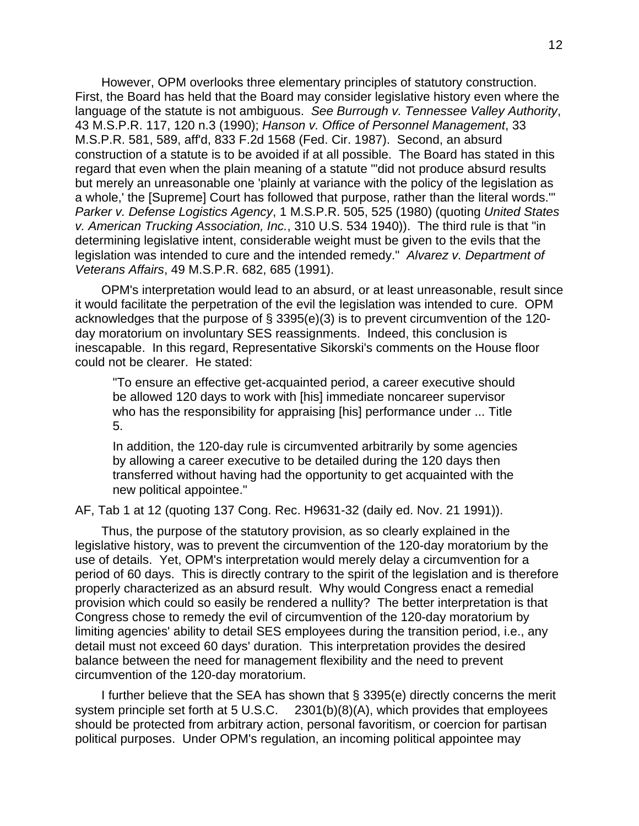However, OPM overlooks three elementary principles of statutory construction. First, the Board has held that the Board may consider legislative history even where the language of the statute is not ambiguous. *See Burrough v. Tennessee Valley Authority*, 43 M.S.P.R. 117, 120 n.3 (1990); *Hanson v. Office of Personnel Management*, 33 M.S.P.R. 581, 589, aff'd, 833 F.2d 1568 (Fed. Cir. 1987). Second, an absurd construction of a statute is to be avoided if at all possible. The Board has stated in this regard that even when the plain meaning of a statute "'did not produce absurd results but merely an unreasonable one 'plainly at variance with the policy of the legislation as a whole,' the [Supreme] Court has followed that purpose, rather than the literal words.'" *Parker v. Defense Logistics Agency*, 1 M.S.P.R. 505, 525 (1980) (quoting *United States v. American Trucking Association, Inc.*, 310 U.S. 534 1940)). The third rule is that "in determining legislative intent, considerable weight must be given to the evils that the legislation was intended to cure and the intended remedy." *Alvarez v. Department of Veterans Affairs*, 49 M.S.P.R. 682, 685 (1991).

OPM's interpretation would lead to an absurd, or at least unreasonable, result since it would facilitate the perpetration of the evil the legislation was intended to cure. OPM acknowledges that the purpose of § 3395(e)(3) is to prevent circumvention of the 120 day moratorium on involuntary SES reassignments. Indeed, this conclusion is inescapable. In this regard, Representative Sikorski's comments on the House floor could not be clearer. He stated:

"To ensure an effective get-acquainted period, a career executive should be allowed 120 days to work with [his] immediate noncareer supervisor who has the responsibility for appraising [his] performance under ... Title 5.

In addition, the 120-day rule is circumvented arbitrarily by some agencies by allowing a career executive to be detailed during the 120 days then transferred without having had the opportunity to get acquainted with the new political appointee."

AF, Tab 1 at 12 (quoting 137 Cong. Rec. H9631-32 (daily ed. Nov. 21 1991)).

Thus, the purpose of the statutory provision, as so clearly explained in the legislative history, was to prevent the circumvention of the 120-day moratorium by the use of details. Yet, OPM's interpretation would merely delay a circumvention for a period of 60 days. This is directly contrary to the spirit of the legislation and is therefore properly characterized as an absurd result. Why would Congress enact a remedial provision which could so easily be rendered a nullity? The better interpretation is that Congress chose to remedy the evil of circumvention of the 120-day moratorium by limiting agencies' ability to detail SES employees during the transition period, i.e., any detail must not exceed 60 days' duration. This interpretation provides the desired balance between the need for management flexibility and the need to prevent circumvention of the 120-day moratorium.

I further believe that the SEA has shown that § 3395(e) directly concerns the merit system principle set forth at 5 U.S.C. 2301(b)(8)(A), which provides that employees should be protected from arbitrary action, personal favoritism, or coercion for partisan political purposes. Under OPM's regulation, an incoming political appointee may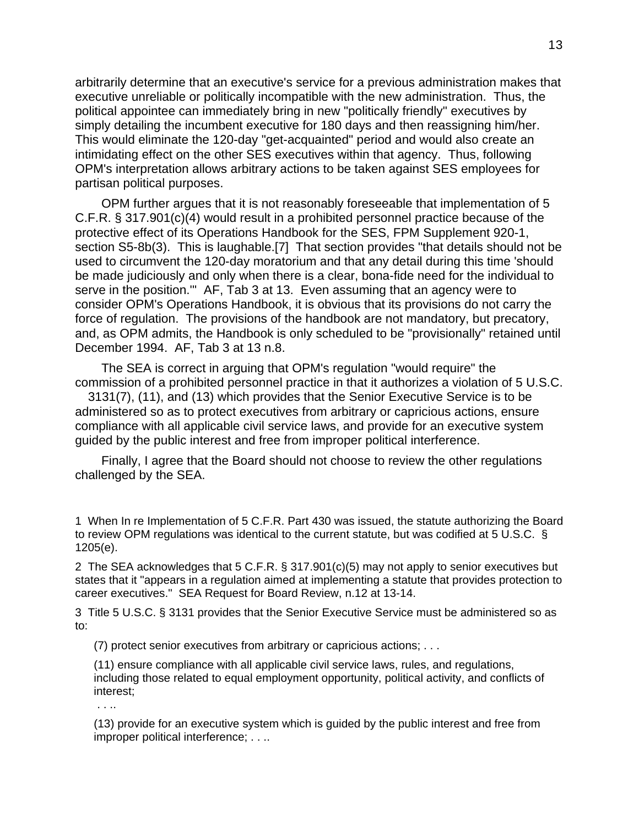arbitrarily determine that an executive's service for a previous administration makes that executive unreliable or politically incompatible with the new administration. Thus, the political appointee can immediately bring in new "politically friendly" executives by simply detailing the incumbent executive for 180 days and then reassigning him/her. This would eliminate the 120-day "get-acquainted" period and would also create an intimidating effect on the other SES executives within that agency. Thus, following OPM's interpretation allows arbitrary actions to be taken against SES employees for partisan political purposes.

OPM further argues that it is not reasonably foreseeable that implementation of 5 C.F.R. § 317.901(c)(4) would result in a prohibited personnel practice because of the protective effect of its Operations Handbook for the SES, FPM Supplement 920-1, section S5-8b(3). This is laughable.[7] That section provides "that details should not be used to circumvent the 120-day moratorium and that any detail during this time 'should be made judiciously and only when there is a clear, bona-fide need for the individual to serve in the position.'" AF, Tab 3 at 13. Even assuming that an agency were to consider OPM's Operations Handbook, it is obvious that its provisions do not carry the force of regulation. The provisions of the handbook are not mandatory, but precatory, and, as OPM admits, the Handbook is only scheduled to be "provisionally" retained until December 1994. AF, Tab 3 at 13 n.8.

The SEA is correct in arguing that OPM's regulation "would require" the commission of a prohibited personnel practice in that it authorizes a violation of 5 U.S.C.

 3131(7), (11), and (13) which provides that the Senior Executive Service is to be administered so as to protect executives from arbitrary or capricious actions, ensure compliance with all applicable civil service laws, and provide for an executive system guided by the public interest and free from improper political interference.

Finally, I agree that the Board should not choose to review the other regulations challenged by the SEA.

1 When In re Implementation of 5 C.F.R. Part 430 was issued, the statute authorizing the Board to review OPM regulations was identical to the current statute, but was codified at 5 U.S.C. § 1205(e).

2 The SEA acknowledges that 5 C.F.R. § 317.901(c)(5) may not apply to senior executives but states that it "appears in a regulation aimed at implementing a statute that provides protection to career executives." SEA Request for Board Review, n.12 at 13-14.

3 Title 5 U.S.C. § 3131 provides that the Senior Executive Service must be administered so as to:

(7) protect senior executives from arbitrary or capricious actions; . . .

(11) ensure compliance with all applicable civil service laws, rules, and regulations, including those related to equal employment opportunity, political activity, and conflicts of interest;

. . ..

(13) provide for an executive system which is guided by the public interest and free from improper political interference; . . ..